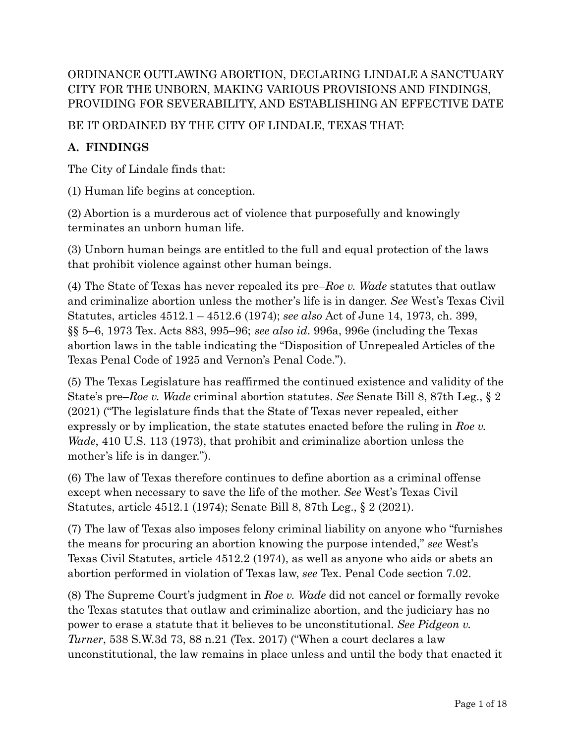### ORDINANCE OUTLAWING ABORTION, DECLARING LINDALE A SANCTUARY CITY FOR THE UNBORN, MAKING VARIOUS PROVISIONS AND FINDINGS, PROVIDING FOR SEVERABILITY, AND ESTABLISHING AN EFFECTIVE DATE

### BE IT ORDAINED BY THE CITY OF LINDALE, TEXAS THAT:

### **A. FINDINGS**

The City of Lindale finds that:

(1) Human life begins at conception.

(2) Abortion is a murderous act of violence that purposefully and knowingly terminates an unborn human life.

(3) Unborn human beings are entitled to the full and equal protection of the laws that prohibit violence against other human beings.

(4) The State of Texas has never repealed its pre–*Roe v. Wade* statutes that outlaw and criminalize abortion unless the mother's life is in danger. *See* West's Texas Civil Statutes, articles 4512.1 – 4512.6 (1974); *see also* Act of June 14, 1973, ch. 399, §§ 5–6, 1973 Tex. Acts 883, 995–96; *see also id*. 996a, 996e (including the Texas abortion laws in the table indicating the "Disposition of Unrepealed Articles of the Texas Penal Code of 1925 and Vernon's Penal Code.").

(5) The Texas Legislature has reaffirmed the continued existence and validity of the State's pre–*Roe v. Wade* criminal abortion statutes. *See* Senate Bill 8, 87th Leg., § 2 (2021) ("The legislature finds that the State of Texas never repealed, either expressly or by implication, the state statutes enacted before the ruling in *Roe v. Wade*, 410 U.S. 113 (1973), that prohibit and criminalize abortion unless the mother's life is in danger.").

(6) The law of Texas therefore continues to define abortion as a criminal offense except when necessary to save the life of the mother. *See* West's Texas Civil Statutes, article 4512.1 (1974); Senate Bill 8, 87th Leg., § 2 (2021).

(7) The law of Texas also imposes felony criminal liability on anyone who "furnishes the means for procuring an abortion knowing the purpose intended," *see* West's Texas Civil Statutes, article 4512.2 (1974), as well as anyone who aids or abets an abortion performed in violation of Texas law, *see* Tex. Penal Code section 7.02.

(8) The Supreme Court's judgment in *Roe v. Wade* did not cancel or formally revoke the Texas statutes that outlaw and criminalize abortion, and the judiciary has no power to erase a statute that it believes to be unconstitutional. *See Pidgeon v. Turner*, 538 S.W.3d 73, 88 n.21 (Tex. 2017) ("When a court declares a law unconstitutional, the law remains in place unless and until the body that enacted it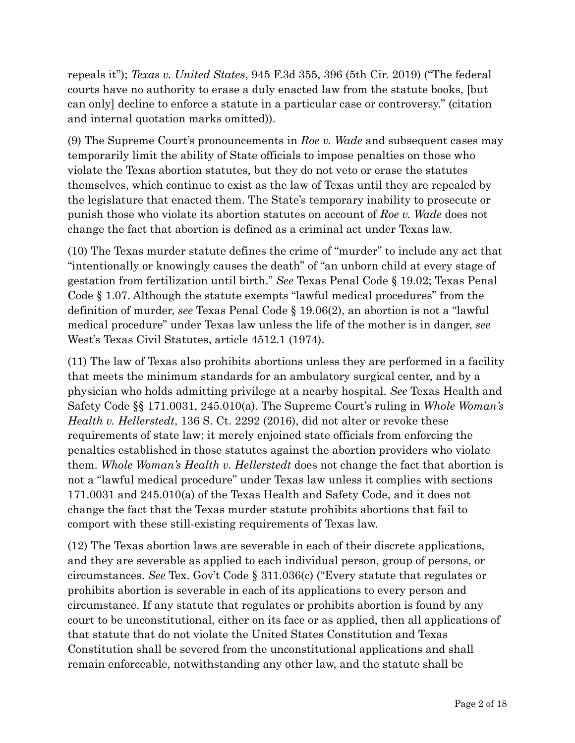repeals it"); *Texas v. United States*, 945 F.3d 355, 396 (5th Cir. 2019) ("The federal courts have no authority to erase a duly enacted law from the statute books, [but can only] decline to enforce a statute in a particular case or controversy." (citation and internal quotation marks omitted)).

(9) The Supreme Court's pronouncements in *Roe v. Wade* and subsequent cases may temporarily limit the ability of State officials to impose penalties on those who violate the Texas abortion statutes, but they do not veto or erase the statutes themselves, which continue to exist as the law of Texas until they are repealed by the legislature that enacted them. The State's temporary inability to prosecute or punish those who violate its abortion statutes on account of *Roe v. Wade* does not change the fact that abortion is defined as a criminal act under Texas law.

(10) The Texas murder statute defines the crime of "murder" to include any act that "intentionally or knowingly causes the death" of "an unborn child at every stage of gestation from fertilization until birth." *See* Texas Penal Code § 19.02; Texas Penal Code § 1.07. Although the statute exempts "lawful medical procedures" from the definition of murder, *see* Texas Penal Code § 19.06(2), an abortion is not a "lawful medical procedure" under Texas law unless the life of the mother is in danger, *see* West's Texas Civil Statutes, article 4512.1 (1974).

(11) The law of Texas also prohibits abortions unless they are performed in a facility that meets the minimum standards for an ambulatory surgical center, and by a physician who holds admitting privilege at a nearby hospital. *See* Texas Health and Safety Code §§ 171.0031, 245.010(a). The Supreme Court's ruling in *Whole Woman's Health v. Hellerstedt*, 136 S. Ct. 2292 (2016), did not alter or revoke these requirements of state law; it merely enjoined state officials from enforcing the penalties established in those statutes against the abortion providers who violate them. *Whole Woman's Health v. Hellerstedt* does not change the fact that abortion is not a "lawful medical procedure" under Texas law unless it complies with sections 171.0031 and 245.010(a) of the Texas Health and Safety Code, and it does not change the fact that the Texas murder statute prohibits abortions that fail to comport with these still-existing requirements of Texas law.

(12) The Texas abortion laws are severable in each of their discrete applications, and they are severable as applied to each individual person, group of persons, or circumstances. *See* Tex. Gov't Code § 311.036(c) ("Every statute that regulates or prohibits abortion is severable in each of its applications to every person and circumstance. If any statute that regulates or prohibits abortion is found by any court to be unconstitutional, either on its face or as applied, then all applications of that statute that do not violate the United States Constitution and Texas Constitution shall be severed from the unconstitutional applications and shall remain enforceable, notwithstanding any other law, and the statute shall be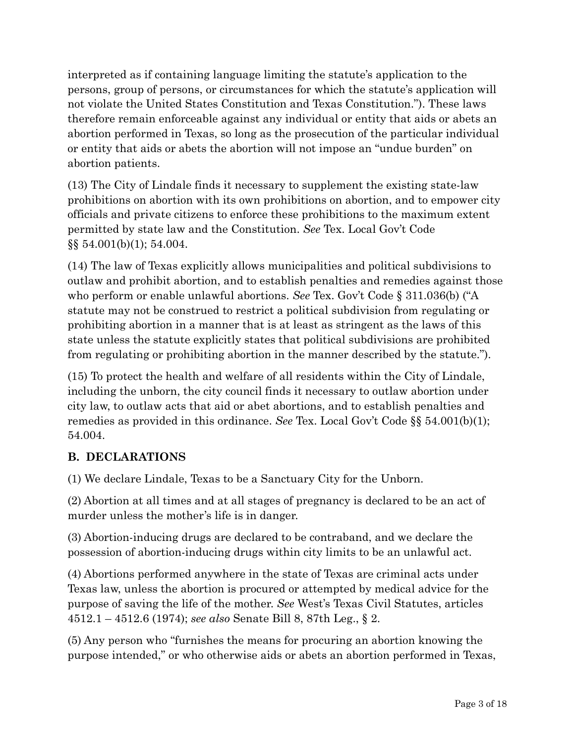interpreted as if containing language limiting the statute's application to the persons, group of persons, or circumstances for which the statute's application will not violate the United States Constitution and Texas Constitution."). These laws therefore remain enforceable against any individual or entity that aids or abets an abortion performed in Texas, so long as the prosecution of the particular individual or entity that aids or abets the abortion will not impose an "undue burden" on abortion patients.

(13) The City of Lindale finds it necessary to supplement the existing state-law prohibitions on abortion with its own prohibitions on abortion, and to empower city officials and private citizens to enforce these prohibitions to the maximum extent permitted by state law and the Constitution. *See* Tex. Local Gov't Code §§ 54.001(b)(1); 54.004.

(14) The law of Texas explicitly allows municipalities and political subdivisions to outlaw and prohibit abortion, and to establish penalties and remedies against those who perform or enable unlawful abortions. *See* Tex. Gov't Code § 311.036(b) ("A statute may not be construed to restrict a political subdivision from regulating or prohibiting abortion in a manner that is at least as stringent as the laws of this state unless the statute explicitly states that political subdivisions are prohibited from regulating or prohibiting abortion in the manner described by the statute.").

(15) To protect the health and welfare of all residents within the City of Lindale, including the unborn, the city council finds it necessary to outlaw abortion under city law, to outlaw acts that aid or abet abortions, and to establish penalties and remedies as provided in this ordinance. *See* Tex. Local Gov't Code §§ 54.001(b)(1); 54.004.

## **B. DECLARATIONS**

(1) We declare Lindale, Texas to be a Sanctuary City for the Unborn.

(2) Abortion at all times and at all stages of pregnancy is declared to be an act of murder unless the mother's life is in danger.

(3) Abortion-inducing drugs are declared to be contraband, and we declare the possession of abortion-inducing drugs within city limits to be an unlawful act.

(4) Abortions performed anywhere in the state of Texas are criminal acts under Texas law, unless the abortion is procured or attempted by medical advice for the purpose of saving the life of the mother. *See* West's Texas Civil Statutes, articles 4512.1 – 4512.6 (1974); *see also* Senate Bill 8, 87th Leg., § 2.

(5) Any person who "furnishes the means for procuring an abortion knowing the purpose intended," or who otherwise aids or abets an abortion performed in Texas,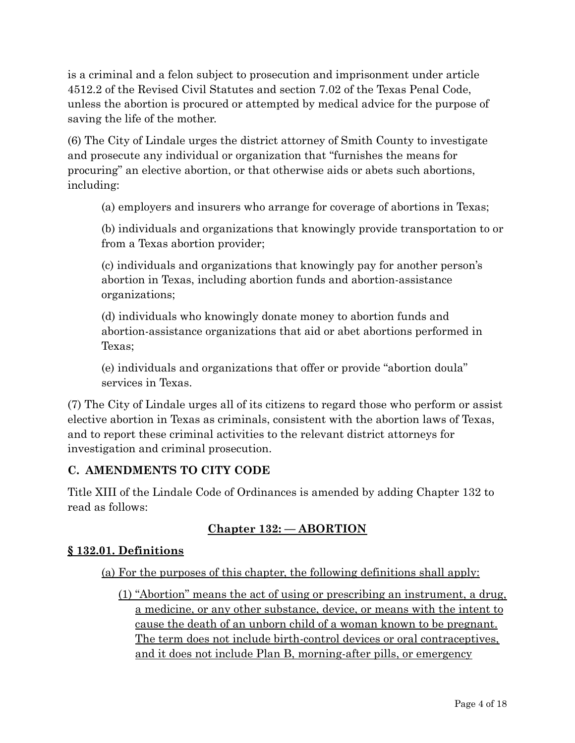is a criminal and a felon subject to prosecution and imprisonment under article 4512.2 of the Revised Civil Statutes and section 7.02 of the Texas Penal Code, unless the abortion is procured or attempted by medical advice for the purpose of saving the life of the mother.

(6) The City of Lindale urges the district attorney of Smith County to investigate and prosecute any individual or organization that "furnishes the means for procuring" an elective abortion, or that otherwise aids or abets such abortions, including:

(a) employers and insurers who arrange for coverage of abortions in Texas;

(b) individuals and organizations that knowingly provide transportation to or from a Texas abortion provider;

(c) individuals and organizations that knowingly pay for another person's abortion in Texas, including abortion funds and abortion-assistance organizations;

(d) individuals who knowingly donate money to abortion funds and abortion-assistance organizations that aid or abet abortions performed in Texas;

(e) individuals and organizations that offer or provide "abortion doula" services in Texas.

(7) The City of Lindale urges all of its citizens to regard those who perform or assist elective abortion in Texas as criminals, consistent with the abortion laws of Texas, and to report these criminal activities to the relevant district attorneys for investigation and criminal prosecution.

## **C. AMENDMENTS TO CITY CODE**

Title XIII of the Lindale Code of Ordinances is amended by adding Chapter 132 to read as follows:

# **Chapter 132: — ABORTION**

### **§ 132.01. Definitions**

(a) For the purposes of this chapter, the following definitions shall apply:

(1) "Abortion" means the act of using or prescribing an instrument, a drug, a medicine, or any other substance, device, or means with the intent to cause the death of an unborn child of a woman known to be pregnant. The term does not include birth-control devices or oral contraceptives, and it does not include Plan B, morning-after pills, or emergency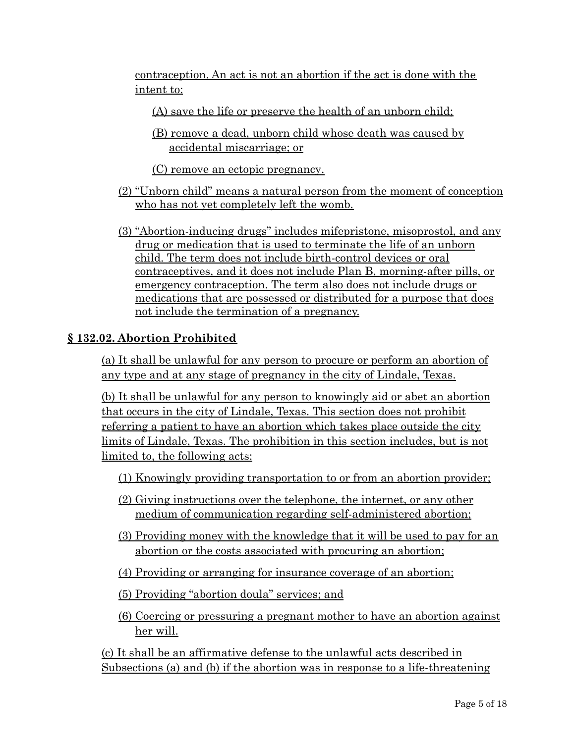contraception. An act is not an abortion if the act is done with the intent to:

(A) save the life or preserve the health of an unborn child;

- (B) remove a dead, unborn child whose death was caused by accidental miscarriage; or
- (C) remove an ectopic pregnancy.
- (2) "Unborn child" means a natural person from the moment of conception who has not yet completely left the womb*.*
- (3) "Abortion-inducing drugs" includes mifepristone, misoprostol, and any drug or medication that is used to terminate the life of an unborn child. The term does not include birth-control devices or oral contraceptives, and it does not include Plan B, morning-after pills, or emergency contraception. The term also does not include drugs or medications that are possessed or distributed for a purpose that does not include the termination of a pregnancy.

### **§ 132.02. Abortion Prohibited**

(a) It shall be unlawful for any person to procure or perform an abortion of any type and at any stage of pregnancy in the city of Lindale, Texas.

(b) It shall be unlawful for any person to knowingly aid or abet an abortion that occurs in the city of Lindale, Texas. This section does not prohibit referring a patient to have an abortion which takes place outside the city limits of Lindale, Texas. The prohibition in this section includes, but is not limited to, the following acts:

- (1) Knowingly providing transportation to or from an abortion provider;
- (2) Giving instructions over the telephone, the internet, or any other medium of communication regarding self-administered abortion;
- (3) Providing money with the knowledge that it will be used to pay for an abortion or the costs associated with procuring an abortion;
- (4) Providing or arranging for insurance coverage of an abortion;
- (5) Providing "abortion doula" services; and
- (6) Coercing or pressuring a pregnant mother to have an abortion against her will.

(c) It shall be an affirmative defense to the unlawful acts described in Subsections (a) and (b) if the abortion was in response to a life-threatening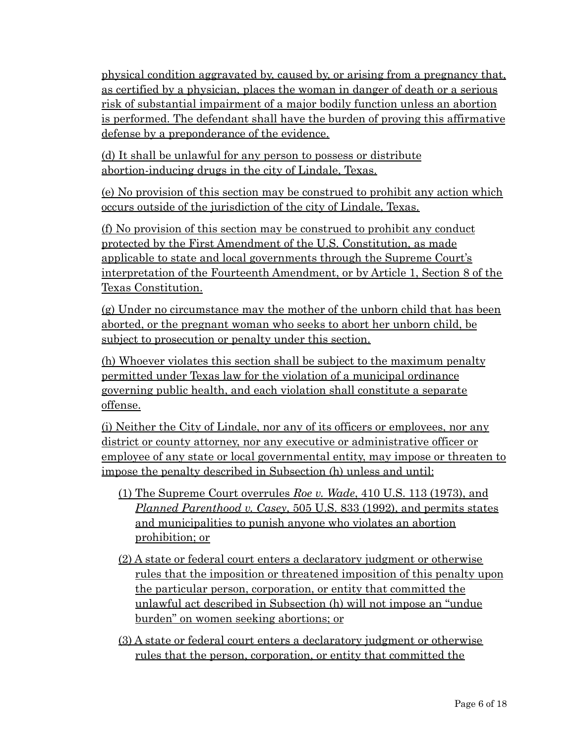physical condition aggravated by, caused by, or arising from a pregnancy that, as certified by a physician, places the woman in danger of death or a serious risk of substantial impairment of a major bodily function unless an abortion is performed. The defendant shall have the burden of proving this affirmative defense by a preponderance of the evidence.

(d) It shall be unlawful for any person to possess or distribute abortion-inducing drugs in the city of Lindale, Texas.

(e) No provision of this section may be construed to prohibit any action which occurs outside of the jurisdiction of the city of Lindale, Texas.

(f) No provision of this section may be construed to prohibit any conduct protected by the First Amendment of the U.S. Constitution, as made applicable to state and local governments through the Supreme Court's interpretation of the Fourteenth Amendment, or by Article 1, Section 8 of the Texas Constitution.

(g) Under no circumstance may the mother of the unborn child that has been aborted, or the pregnant woman who seeks to abort her unborn child, be subject to prosecution or penalty under this section.

(h) Whoever violates this section shall be subject to the maximum penalty permitted under Texas law for the violation of a municipal ordinance governing public health, and each violation shall constitute a separate offense.

(i) Neither the City of Lindale, nor any of its officers or employees, nor any district or county attorney, nor any executive or administrative officer or employee of any state or local governmental entity, may impose or threaten to impose the penalty described in Subsection (h) unless and until:

- (1) The Supreme Court overrules *Roe v. Wade*, 410 U.S. 113 (1973), and *Planned Parenthood v. Casey*, 505 U.S. 833 (1992), and permits states and municipalities to punish anyone who violates an abortion prohibition; or
- (2) A state or federal court enters a declaratory judgment or otherwise rules that the imposition or threatened imposition of this penalty upon the particular person, corporation, or entity that committed the unlawful act described in Subsection (h) will not impose an "undue burden" on women seeking abortions; or
- (3) A state or federal court enters a declaratory judgment or otherwise rules that the person, corporation, or entity that committed the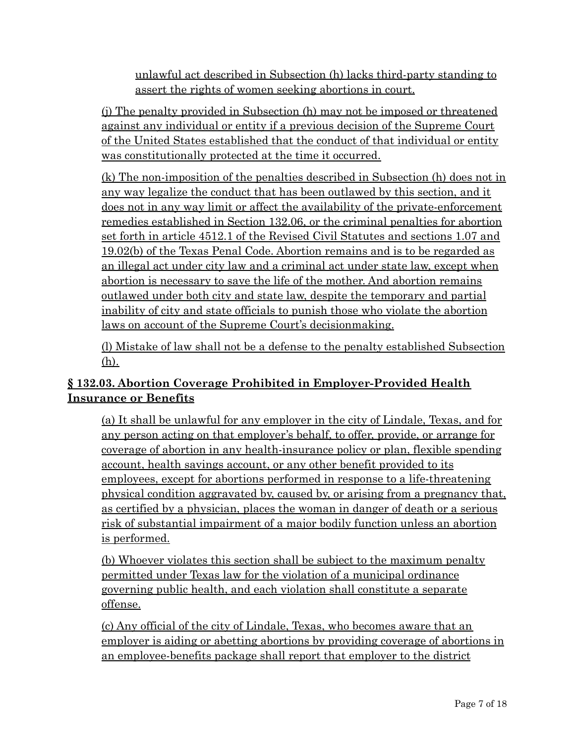unlawful act described in Subsection (h) lacks third-party standing to assert the rights of women seeking abortions in court.

(j) The penalty provided in Subsection (h) may not be imposed or threatened against any individual or entity if a previous decision of the Supreme Court of the United States established that the conduct of that individual or entity was constitutionally protected at the time it occurred.

(k) The non-imposition of the penalties described in Subsection (h) does not in any way legalize the conduct that has been outlawed by this section, and it does not in any way limit or affect the availability of the private-enforcement remedies established in Section 132.06, or the criminal penalties for abortion set forth in article 4512.1 of the Revised Civil Statutes and sections 1.07 and 19.02(b) of the Texas Penal Code. Abortion remains and is to be regarded as an illegal act under city law and a criminal act under state law, except when abortion is necessary to save the life of the mother. And abortion remains outlawed under both city and state law, despite the temporary and partial inability of city and state officials to punish those who violate the abortion laws on account of the Supreme Court's decisionmaking.

(l) Mistake of law shall not be a defense to the penalty established Subsection (h).

### **§ 132.03. Abortion Coverage Prohibited in Employer-Provided Health Insurance or Benefits**

(a) It shall be unlawful for any employer in the city of Lindale, Texas, and for any person acting on that employer's behalf, to offer, provide, or arrange for coverage of abortion in any health-insurance policy or plan, flexible spending account, health savings account, or any other benefit provided to its employees, except for abortions performed in response to a life-threatening physical condition aggravated by, caused by, or arising from a pregnancy that, as certified by a physician, places the woman in danger of death or a serious risk of substantial impairment of a major bodily function unless an abortion is performed.

(b) Whoever violates this section shall be subject to the maximum penalty permitted under Texas law for the violation of a municipal ordinance governing public health, and each violation shall constitute a separate offense.

(c) Any official of the city of Lindale, Texas, who becomes aware that an employer is aiding or abetting abortions by providing coverage of abortions in an employee-benefits package shall report that employer to the district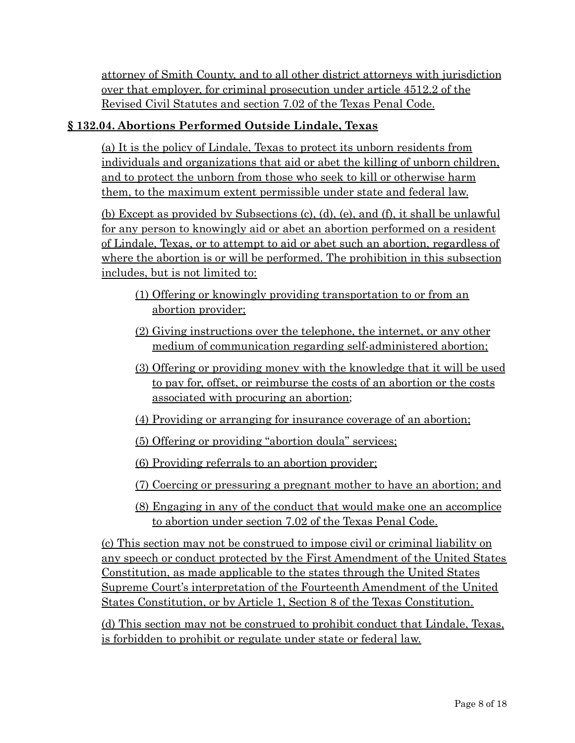attorney of Smith County, and to all other district attorneys with jurisdiction over that employer, for criminal prosecution under article 4512.2 of the Revised Civil Statutes and section 7.02 of the Texas Penal Code.

### **§ 132.04. Abortions Performed Outside Lindale, Texas**

(a) It is the policy of Lindale, Texas to protect its unborn residents from individuals and organizations that aid or abet the killing of unborn children, and to protect the unborn from those who seek to kill or otherwise harm them, to the maximum extent permissible under state and federal law.

(b) Except as provided by Subsections (c), (d), (e), and (f), it shall be unlawful for any person to knowingly aid or abet an abortion performed on a resident of Lindale, Texas, or to attempt to aid or abet such an abortion, regardless of where the abortion is or will be performed. The prohibition in this subsection includes, but is not limited to:

- (1) Offering or knowingly providing transportation to or from an abortion provider;
- (2) Giving instructions over the telephone, the internet, or any other medium of communication regarding self-administered abortion;
- (3) Offering or providing money with the knowledge that it will be used to pay for, offset, or reimburse the costs of an abortion or the costs associated with procuring an abortion;
- (4) Providing or arranging for insurance coverage of an abortion;
- (5) Offering or providing "abortion doula" services;
- (6) Providing referrals to an abortion provider;
- (7) Coercing or pressuring a pregnant mother to have an abortion; and
- (8) Engaging in any of the conduct that would make one an accomplice to abortion under section 7.02 of the Texas Penal Code.

(c) This section may not be construed to impose civil or criminal liability on any speech or conduct protected by the First Amendment of the United States Constitution, as made applicable to the states through the United States Supreme Court's interpretation of the Fourteenth Amendment of the United States Constitution, or by Article 1, Section 8 of the Texas Constitution.

(d) This section may not be construed to prohibit conduct that Lindale, Texas, is forbidden to prohibit or regulate under state or federal law.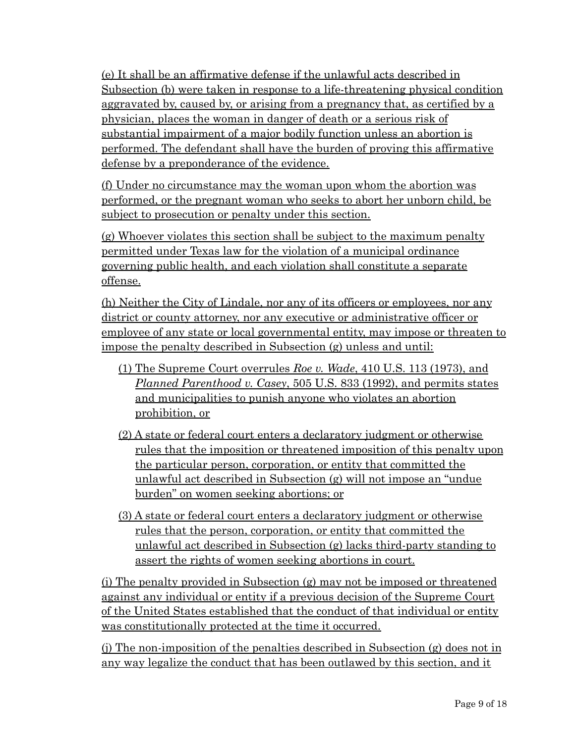(e) It shall be an affirmative defense if the unlawful acts described in Subsection (b) were taken in response to a life-threatening physical condition aggravated by, caused by, or arising from a pregnancy that, as certified by a physician, places the woman in danger of death or a serious risk of substantial impairment of a major bodily function unless an abortion is performed. The defendant shall have the burden of proving this affirmative defense by a preponderance of the evidence.

(f) Under no circumstance may the woman upon whom the abortion was performed, or the pregnant woman who seeks to abort her unborn child, be subject to prosecution or penalty under this section.

(g) Whoever violates this section shall be subject to the maximum penalty permitted under Texas law for the violation of a municipal ordinance governing public health, and each violation shall constitute a separate offense.

(h) Neither the City of Lindale, nor any of its officers or employees, nor any district or county attorney, nor any executive or administrative officer or employee of any state or local governmental entity, may impose or threaten to impose the penalty described in Subsection (g) unless and until:

- (1) The Supreme Court overrules *Roe v. Wade*, 410 U.S. 113 (1973), and *Planned Parenthood v. Casey*, 505 U.S. 833 (1992), and permits states and municipalities to punish anyone who violates an abortion prohibition, or
- (2) A state or federal court enters a declaratory judgment or otherwise rules that the imposition or threatened imposition of this penalty upon the particular person, corporation, or entity that committed the unlawful act described in Subsection (g) will not impose an "undue burden" on women seeking abortions; or
- (3) A state or federal court enters a declaratory judgment or otherwise rules that the person, corporation, or entity that committed the unlawful act described in Subsection (g) lacks third-party standing to assert the rights of women seeking abortions in court.

(i) The penalty provided in Subsection (g) may not be imposed or threatened against any individual or entity if a previous decision of the Supreme Court of the United States established that the conduct of that individual or entity was constitutionally protected at the time it occurred.

(j) The non-imposition of the penalties described in Subsection (g) does not in any way legalize the conduct that has been outlawed by this section, and it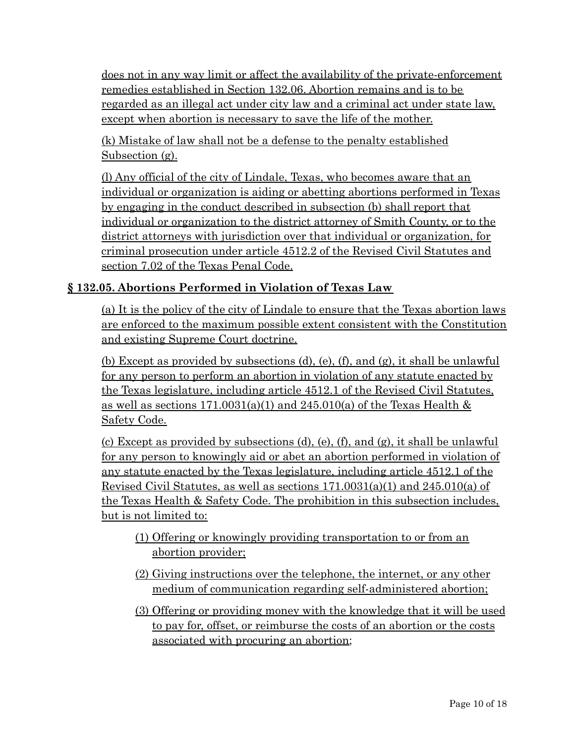does not in any way limit or affect the availability of the private-enforcement remedies established in Section 132.06. Abortion remains and is to be regarded as an illegal act under city law and a criminal act under state law, except when abortion is necessary to save the life of the mother.

(k) Mistake of law shall not be a defense to the penalty established Subsection (g).

(l) Any official of the city of Lindale, Texas, who becomes aware that an individual or organization is aiding or abetting abortions performed in Texas by engaging in the conduct described in subsection (b) shall report that individual or organization to the district attorney of Smith County, or to the district attorneys with jurisdiction over that individual or organization, for criminal prosecution under article 4512.2 of the Revised Civil Statutes and section 7.02 of the Texas Penal Code.

### **§ 132.05. Abortions Performed in Violation of Texas Law**

(a) It is the policy of the city of Lindale to ensure that the Texas abortion laws are enforced to the maximum possible extent consistent with the Constitution and existing Supreme Court doctrine.

(b) Except as provided by subsections (d), (e), (f), and (g), it shall be unlawful for any person to perform an abortion in violation of any statute enacted by the Texas legislature, including article 4512.1 of the Revised Civil Statutes, as well as sections  $171.0031(a)(1)$  and  $245.010(a)$  of the Texas Health & Safety Code.

(c) Except as provided by subsections  $(d)$ ,  $(e)$ ,  $(f)$ , and  $(g)$ , it shall be unlawful for any person to knowingly aid or abet an abortion performed in violation of any statute enacted by the Texas legislature, including article 4512.1 of the Revised Civil Statutes, as well as sections 171.0031(a)(1) and 245.010(a) of the Texas Health & Safety Code. The prohibition in this subsection includes, but is not limited to:

- (1) Offering or knowingly providing transportation to or from an abortion provider;
- (2) Giving instructions over the telephone, the internet, or any other medium of communication regarding self-administered abortion;
- (3) Offering or providing money with the knowledge that it will be used to pay for, offset, or reimburse the costs of an abortion or the costs associated with procuring an abortion;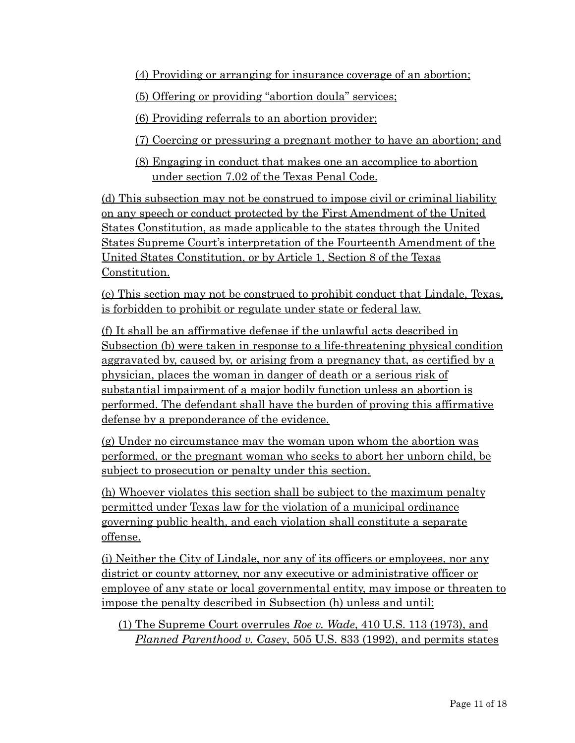(4) Providing or arranging for insurance coverage of an abortion;

(5) Offering or providing "abortion doula" services;

(6) Providing referrals to an abortion provider;

(7) Coercing or pressuring a pregnant mother to have an abortion; and

(8) Engaging in conduct that makes one an accomplice to abortion under section 7.02 of the Texas Penal Code.

(d) This subsection may not be construed to impose civil or criminal liability on any speech or conduct protected by the First Amendment of the United States Constitution, as made applicable to the states through the United States Supreme Court's interpretation of the Fourteenth Amendment of the United States Constitution, or by Article 1, Section 8 of the Texas Constitution.

(e) This section may not be construed to prohibit conduct that Lindale, Texas, is forbidden to prohibit or regulate under state or federal law.

(f) It shall be an affirmative defense if the unlawful acts described in Subsection (b) were taken in response to a life-threatening physical condition aggravated by, caused by, or arising from a pregnancy that, as certified by a physician, places the woman in danger of death or a serious risk of substantial impairment of a major bodily function unless an abortion is performed. The defendant shall have the burden of proving this affirmative defense by a preponderance of the evidence.

(g) Under no circumstance may the woman upon whom the abortion was performed, or the pregnant woman who seeks to abort her unborn child, be subject to prosecution or penalty under this section.

(h) Whoever violates this section shall be subject to the maximum penalty permitted under Texas law for the violation of a municipal ordinance governing public health, and each violation shall constitute a separate offense.

(i) Neither the City of Lindale, nor any of its officers or employees, nor any district or county attorney, nor any executive or administrative officer or employee of any state or local governmental entity, may impose or threaten to impose the penalty described in Subsection (h) unless and until:

(1) The Supreme Court overrules *Roe v. Wade*, 410 U.S. 113 (1973), and *Planned Parenthood v. Casey*, 505 U.S. 833 (1992), and permits states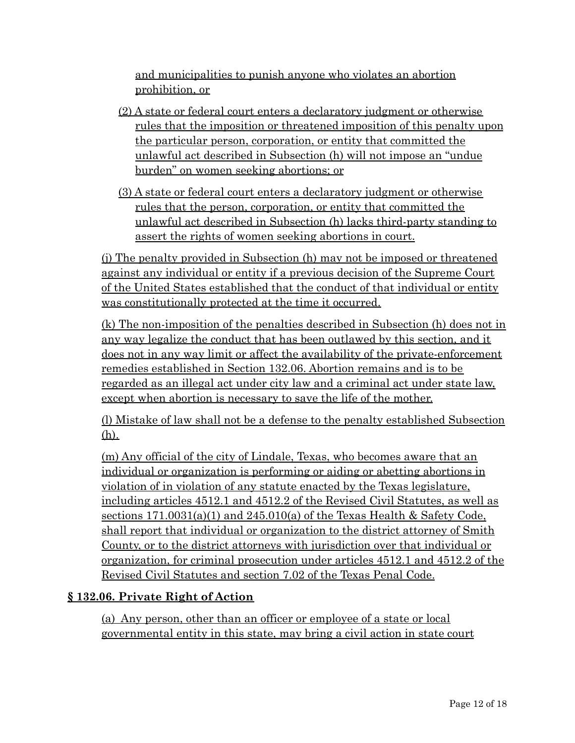and municipalities to punish anyone who violates an abortion prohibition, or

- (2) A state or federal court enters a declaratory judgment or otherwise rules that the imposition or threatened imposition of this penalty upon the particular person, corporation, or entity that committed the unlawful act described in Subsection (h) will not impose an "undue burden" on women seeking abortions; or
- (3) A state or federal court enters a declaratory judgment or otherwise rules that the person, corporation, or entity that committed the unlawful act described in Subsection (h) lacks third-party standing to assert the rights of women seeking abortions in court.

(j) The penalty provided in Subsection (h) may not be imposed or threatened against any individual or entity if a previous decision of the Supreme Court of the United States established that the conduct of that individual or entity was constitutionally protected at the time it occurred.

(k) The non-imposition of the penalties described in Subsection (h) does not in any way legalize the conduct that has been outlawed by this section, and it does not in any way limit or affect the availability of the private-enforcement remedies established in Section 132.06. Abortion remains and is to be regarded as an illegal act under city law and a criminal act under state law, except when abortion is necessary to save the life of the mother.

(l) Mistake of law shall not be a defense to the penalty established Subsection (h).

(m) Any official of the city of Lindale, Texas, who becomes aware that an individual or organization is performing or aiding or abetting abortions in violation of in violation of any statute enacted by the Texas legislature, including articles 4512.1 and 4512.2 of the Revised Civil Statutes, as well as sections 171.0031(a)(1) and 245.010(a) of the Texas Health & Safety Code, shall report that individual or organization to the district attorney of Smith County, or to the district attorneys with jurisdiction over that individual or organization, for criminal prosecution under articles 4512.1 and 4512.2 of the Revised Civil Statutes and section 7.02 of the Texas Penal Code.

### **§ 132.06. Private Right of Action**

(a) Any person, other than an officer or employee of a state or local governmental entity in this state, may bring a civil action in state court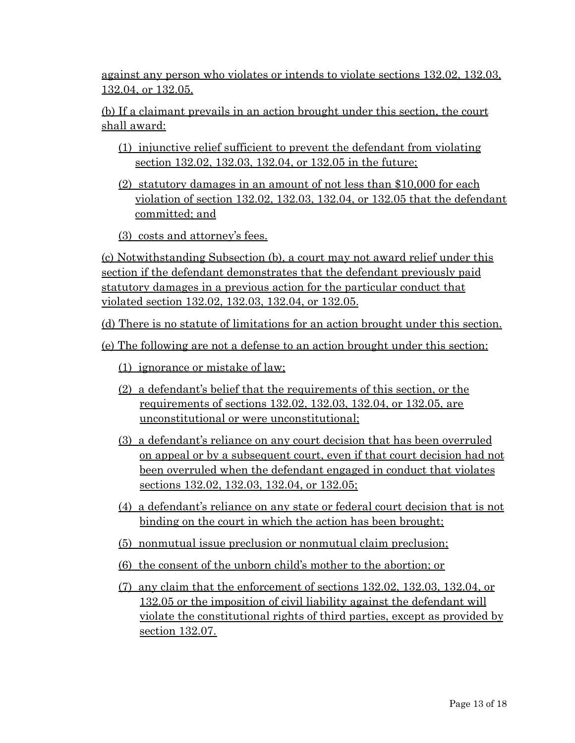against any person who violates or intends to violate sections 132.02, 132.03, 132.04, or 132.05.

(b) If a claimant prevails in an action brought under this section, the court shall award:

- (1) injunctive relief sufficient to prevent the defendant from violating section 132.02, 132.03, 132.04, or 132.05 in the future;
- (2) statutory damages in an amount of not less than \$10,000 for each violation of section 132.02, 132.03, 132.04, or 132.05 that the defendant committed; and
- (3) costs and attorney's fees.

(c) Notwithstanding Subsection (b), a court may not award relief under this section if the defendant demonstrates that the defendant previously paid statutory damages in a previous action for the particular conduct that violated section 132.02, 132.03, 132.04, or 132.05.

(d) There is no statute of limitations for an action brought under this section.

(e) The following are not a defense to an action brought under this section:

- (1) ignorance or mistake of law;
- (2) a defendant's belief that the requirements of this section, or the requirements of sections 132.02, 132.03, 132.04, or 132.05, are unconstitutional or were unconstitutional;
- (3) a defendant's reliance on any court decision that has been overruled on appeal or by a subsequent court, even if that court decision had not been overruled when the defendant engaged in conduct that violates sections 132.02, 132.03, 132.04, or 132.05;
- (4) a defendant's reliance on any state or federal court decision that is not binding on the court in which the action has been brought;
- (5) nonmutual issue preclusion or nonmutual claim preclusion;
- (6) the consent of the unborn child's mother to the abortion; or
- (7) any claim that the enforcement of sections 132.02, 132.03, 132.04, or 132.05 or the imposition of civil liability against the defendant will violate the constitutional rights of third parties, except as provided by section 132.07.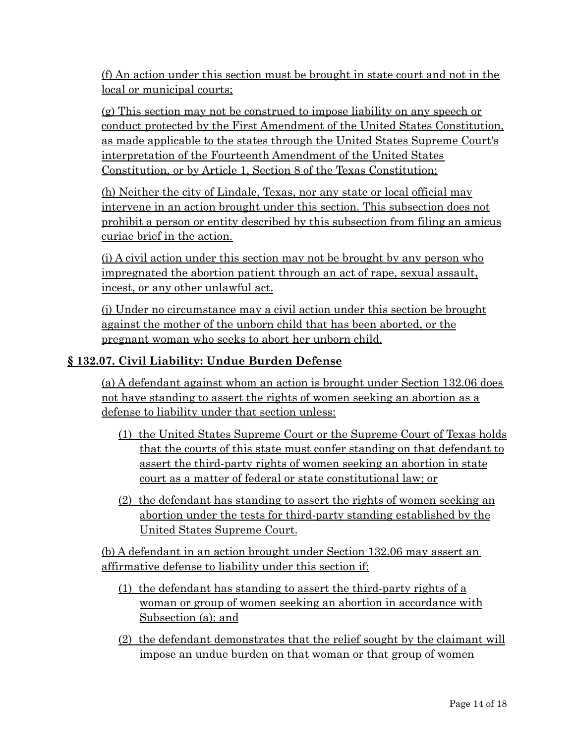(f) An action under this section must be brought in state court and not in the local or municipal courts:

(g) This section may not be construed to impose liability on any speech or conduct protected by the First Amendment of the United States Constitution, as made applicable to the states through the United States Supreme Court's interpretation of the Fourteenth Amendment of the United States Constitution, or by Article 1, Section 8 of the Texas Constitution;

(h) Neither the city of Lindale, Texas, nor any state or local official may intervene in an action brought under this section. This subsection does not prohibit a person or entity described by this subsection from filing an amicus curiae brief in the action.

(i) A civil action under this section may not be brought by any person who impregnated the abortion patient through an act of rape, sexual assault, incest, or any other unlawful act.

(j) Under no circumstance may a civil action under this section be brought against the mother of the unborn child that has been aborted, or the pregnant woman who seeks to abort her unborn child.

## **§ 132.07. Civil Liability: Undue Burden Defense**

(a) A defendant against whom an action is brought under Section 132.06 does not have standing to assert the rights of women seeking an abortion as a defense to liability under that section unless:

- (1) the United States Supreme Court or the Supreme Court of Texas holds that the courts of this state must confer standing on that defendant to assert the third-party rights of women seeking an abortion in state court as a matter of federal or state constitutional law; or
- (2) the defendant has standing to assert the rights of women seeking an abortion under the tests for third-party standing established by the United States Supreme Court.

(b) A defendant in an action brought under Section 132.06 may assert an affirmative defense to liability under this section if:

- (1) the defendant has standing to assert the third-party rights of a woman or group of women seeking an abortion in accordance with Subsection (a); and
- (2) the defendant demonstrates that the relief sought by the claimant will impose an undue burden on that woman or that group of women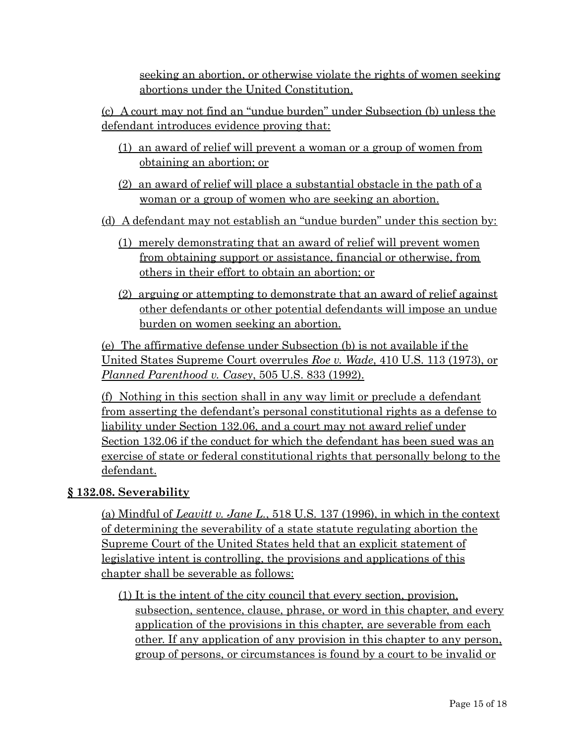seeking an abortion, or otherwise violate the rights of women seeking abortions under the United Constitution.

(c) A court may not find an "undue burden" under Subsection (b) unless the defendant introduces evidence proving that:

- (1) an award of relief will prevent a woman or a group of women from obtaining an abortion; or
- (2) an award of relief will place a substantial obstacle in the path of a woman or a group of women who are seeking an abortion.
- (d) A defendant may not establish an "undue burden" under this section by:
	- (1) merely demonstrating that an award of relief will prevent women from obtaining support or assistance, financial or otherwise, from others in their effort to obtain an abortion; or
	- (2) arguing or attempting to demonstrate that an award of relief against other defendants or other potential defendants will impose an undue burden on women seeking an abortion.

(e) The affirmative defense under Subsection (b) is not available if the United States Supreme Court overrules *Roe v. Wade*, 410 U.S. 113 (1973), or *Planned Parenthood v. Casey*, 505 U.S. 833 (1992).

(f) Nothing in this section shall in any way limit or preclude a defendant from asserting the defendant's personal constitutional rights as a defense to liability under Section 132.06, and a court may not award relief under Section 132.06 if the conduct for which the defendant has been sued was an exercise of state or federal constitutional rights that personally belong to the defendant.

### **§ 132.08. Severability**

(a) Mindful of *Leavitt v. Jane L.*, 518 U.S. 137 (1996), in which in the context of determining the severability of a state statute regulating abortion the Supreme Court of the United States held that an explicit statement of legislative intent is controlling, the provisions and applications of this chapter shall be severable as follows:

(1) It is the intent of the city council that every section, provision, subsection, sentence, clause, phrase, or word in this chapter, and every application of the provisions in this chapter, are severable from each other. If any application of any provision in this chapter to any person, group of persons, or circumstances is found by a court to be invalid or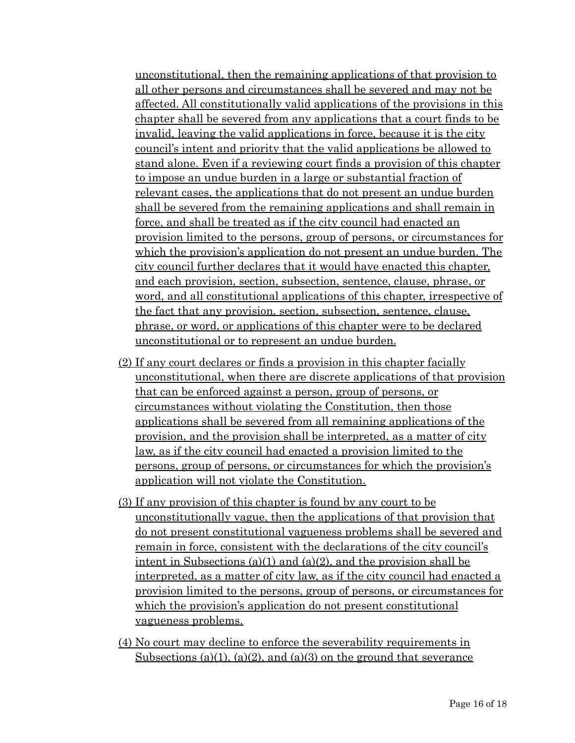unconstitutional, then the remaining applications of that provision to all other persons and circumstances shall be severed and may not be affected. All constitutionally valid applications of the provisions in this chapter shall be severed from any applications that a court finds to be invalid, leaving the valid applications in force, because it is the city council's intent and priority that the valid applications be allowed to stand alone. Even if a reviewing court finds a provision of this chapter to impose an undue burden in a large or substantial fraction of relevant cases, the applications that do not present an undue burden shall be severed from the remaining applications and shall remain in force, and shall be treated as if the city council had enacted an provision limited to the persons, group of persons, or circumstances for which the provision's application do not present an undue burden. The city council further declares that it would have enacted this chapter, and each provision, section, subsection, sentence, clause, phrase, or word, and all constitutional applications of this chapter, irrespective of the fact that any provision, section, subsection, sentence, clause, phrase, or word, or applications of this chapter were to be declared unconstitutional or to represent an undue burden.

- (2) If any court declares or finds a provision in this chapter facially unconstitutional, when there are discrete applications of that provision that can be enforced against a person, group of persons, or circumstances without violating the Constitution, then those applications shall be severed from all remaining applications of the provision, and the provision shall be interpreted, as a matter of city law, as if the city council had enacted a provision limited to the persons, group of persons, or circumstances for which the provision's application will not violate the Constitution.
- (3) If any provision of this chapter is found by any court to be unconstitutionally vague, then the applications of that provision that do not present constitutional vagueness problems shall be severed and remain in force, consistent with the declarations of the city council's intent in Subsections (a)(1) and (a)(2), and the provision shall be interpreted, as a matter of city law, as if the city council had enacted a provision limited to the persons, group of persons, or circumstances for which the provision's application do not present constitutional vagueness problems.
- (4) No court may decline to enforce the severability requirements in Subsections (a)(1), (a)(2), and (a)(3) on the ground that severance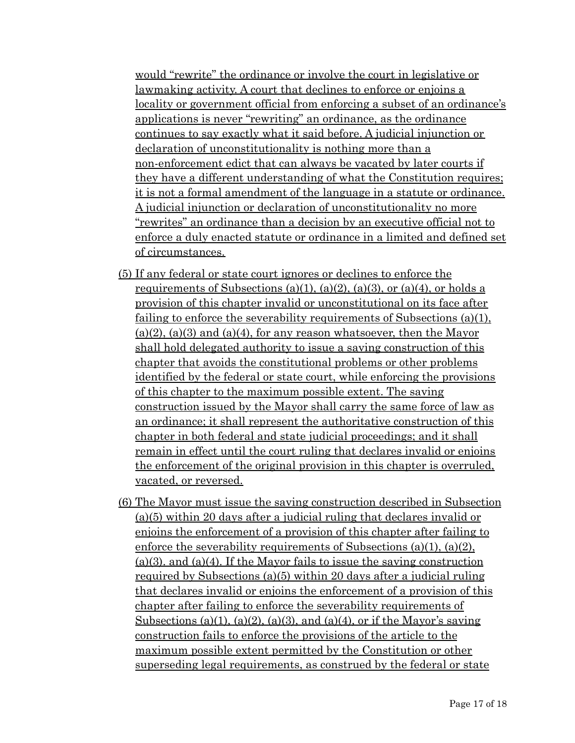would "rewrite" the ordinance or involve the court in legislative or lawmaking activity. A court that declines to enforce or enjoins a locality or government official from enforcing a subset of an ordinance's applications is never "rewriting" an ordinance, as the ordinance continues to say exactly what it said before. A judicial injunction or declaration of unconstitutionality is nothing more than a non-enforcement edict that can always be vacated by later courts if they have a different understanding of what the Constitution requires; it is not a formal amendment of the language in a statute or ordinance. A judicial injunction or declaration of unconstitutionality no more "rewrites" an ordinance than a decision by an executive official not to enforce a duly enacted statute or ordinance in a limited and defined set of circumstances.

- (5) If any federal or state court ignores or declines to enforce the requirements of Subsections (a)(1), (a)(2), (a)(3), or (a)(4), or holds a provision of this chapter invalid or unconstitutional on its face after failing to enforce the severability requirements of Subsections (a)(1),  $(a)(2)$ ,  $(a)(3)$  and  $(a)(4)$ , for any reason whatsoever, then the Mayor shall hold delegated authority to issue a saving construction of this chapter that avoids the constitutional problems or other problems identified by the federal or state court, while enforcing the provisions of this chapter to the maximum possible extent. The saving construction issued by the Mayor shall carry the same force of law as an ordinance; it shall represent the authoritative construction of this chapter in both federal and state judicial proceedings; and it shall remain in effect until the court ruling that declares invalid or enjoins the enforcement of the original provision in this chapter is overruled, vacated, or reversed.
- (6) The Mayor must issue the saving construction described in Subsection (a)(5) within 20 days after a judicial ruling that declares invalid or enjoins the enforcement of a provision of this chapter after failing to enforce the severability requirements of Subsections (a)(1), (a)(2), (a)(3). and (a)(4). If the Mayor fails to issue the saving construction required by Subsections (a)(5) within 20 days after a judicial ruling that declares invalid or enjoins the enforcement of a provision of this chapter after failing to enforce the severability requirements of Subsections (a)(1), (a)(2), (a)(3), and (a)(4), or if the Mayor's saving construction fails to enforce the provisions of the article to the maximum possible extent permitted by the Constitution or other superseding legal requirements, as construed by the federal or state